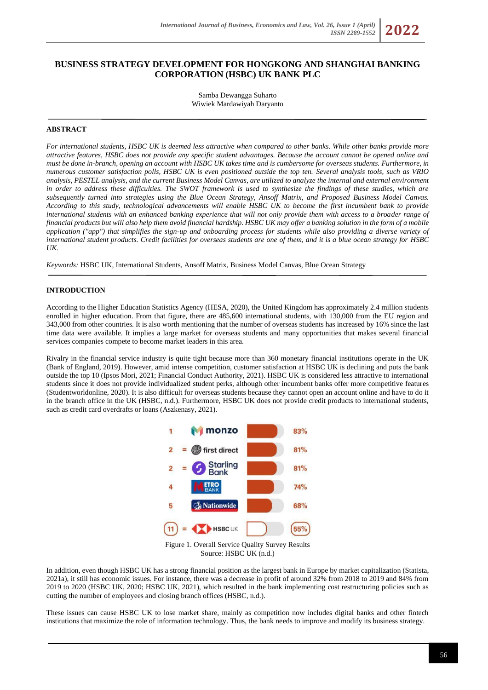# **BUSINESS STRATEGY DEVELOPMENT FOR HONGKONG AND SHANGHAI BANKING CORPORATION (HSBC) UK BANK PLC**

Samba Dewangga Suharto Wiwiek Mardawiyah Daryanto

## **ABSTRACT**

*For international students, HSBC UK is deemed less attractive when compared to other banks. While other banks provide more attractive features, HSBC does not provide any specific student advantages. Because the account cannot be opened online and must be done in-branch, opening an account with HSBC UK takes time and is cumbersome for overseas students. Furthermore, in numerous customer satisfaction polls, HSBC UK is even positioned outside the top ten. Several analysis tools, such as VRIO analysis, PESTEL analysis, and the current Business Model Canvas, are utilized to analyze the internal and external environment*  in order to address these difficulties. The SWOT framework is used to synthesize the findings of these studies, which are *subsequently turned into strategies using the Blue Ocean Strategy, Ansoff Matrix, and Proposed Business Model Canvas. According to this study, technological advancements will enable HSBC UK to become the first incumbent bank to provide international students with an enhanced banking experience that will not only provide them with access to a broader range of financial products but will also help them avoid financial hardship. HSBC UK may offer a banking solution in the form of a mobile application ("app") that simplifies the sign-up and onboarding process for students while also providing a diverse variety of international student products. Credit facilities for overseas students are one of them, and it is a blue ocean strategy for HSBC UK.*

*Keywords:* HSBC UK, International Students, Ansoff Matrix, Business Model Canvas, Blue Ocean Strategy

## **INTRODUCTION**

According to the Higher Education Statistics Agency (HESA, 2020), the United Kingdom has approximately 2.4 million students enrolled in higher education. From that figure, there are 485,600 international students, with 130,000 from the EU region and 343,000 from other countries. It is also worth mentioning that the number of overseas students has increased by 16% since the last time data were available. It implies a large market for overseas students and many opportunities that makes several financial services companies compete to become market leaders in this area.

Rivalry in the financial service industry is quite tight because more than 360 monetary financial institutions operate in the UK (Bank of England, 2019). However, amid intense competition, customer satisfaction at HSBC UK is declining and puts the bank outside the top 10 (Ipsos Mori, 2021; Financial Conduct Authority, 2021). HSBC UK is considered less attractive to international students since it does not provide individualized student perks, although other incumbent banks offer more competitive features (Studentworldonline, 2020). It is also difficult for overseas students because they cannot open an account online and have to do it in the branch office in the UK (HSBC, n.d.). Furthermore, HSBC UK does not provide credit products to international students, such as credit card overdrafts or loans (Aszkenasy, 2021).



Figure 1. Overall Service Quality Survey Results Source: HSBC UK (n.d.)

In addition, even though HSBC UK has a strong financial position as the largest bank in Europe by market capitalization (Statista, 2021a), it still has economic issues. For instance, there was a decrease in profit of around 32% from 2018 to 2019 and 84% from 2019 to 2020 (HSBC UK, 2020; HSBC UK, 2021), which resulted in the bank implementing cost restructuring policies such as cutting the number of employees and closing branch offices (HSBC, n.d.).

These issues can cause HSBC UK to lose market share, mainly as competition now includes digital banks and other fintech institutions that maximize the role of information technology. Thus, the bank needs to improve and modify its business strategy.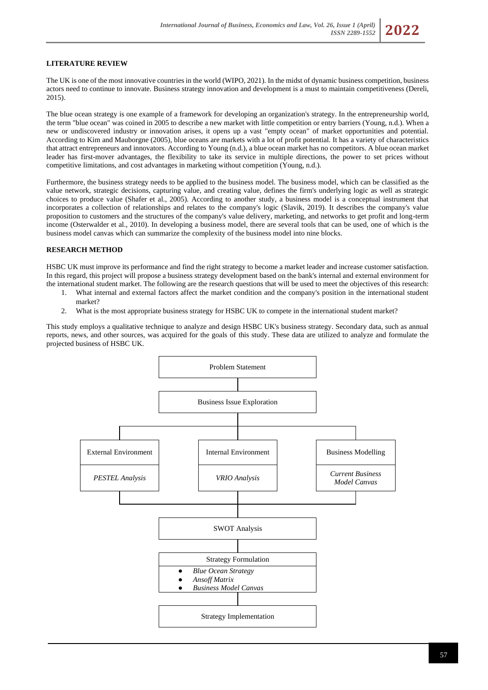## **LITERATURE REVIEW**

The UK is one of the most innovative countries in the world (WIPO, 2021). In the midst of dynamic business competition, business actors need to continue to innovate. Business strategy innovation and development is a must to maintain competitiveness (Dereli, 2015).

The blue ocean strategy is one example of a framework for developing an organization's strategy. In the entrepreneurship world, the term "blue ocean" was coined in 2005 to describe a new market with little competition or entry barriers (Young, n.d.). When a new or undiscovered industry or innovation arises, it opens up a vast "empty ocean" of market opportunities and potential. According to Kim and Mauborgne (2005), blue oceans are markets with a lot of profit potential. It has a variety of characteristics that attract entrepreneurs and innovators. According to Young (n.d.), a blue ocean market has no competitors. A blue ocean market leader has first-mover advantages, the flexibility to take its service in multiple directions, the power to set prices without competitive limitations, and cost advantages in marketing without competition (Young, n.d.).

Furthermore, the business strategy needs to be applied to the business model. The business model, which can be classified as the value network, strategic decisions, capturing value, and creating value, defines the firm's underlying logic as well as strategic choices to produce value (Shafer et al., 2005). According to another study, a business model is a conceptual instrument that incorporates a collection of relationships and relates to the company's logic (Slavik, 2019). It describes the company's value proposition to customers and the structures of the company's value delivery, marketing, and networks to get profit and long-term income (Osterwalder et al., 2010). In developing a business model, there are several tools that can be used, one of which is the business model canvas which can summarize the complexity of the business model into nine blocks.

#### **RESEARCH METHOD**

HSBC UK must improve its performance and find the right strategy to become a market leader and increase customer satisfaction. In this regard, this project will propose a business strategy development based on the bank's internal and external environment for the international student market. The following are the research questions that will be used to meet the objectives of this research:

- 1. What internal and external factors affect the market condition and the company's position in the international student market?
- 2. What is the most appropriate business strategy for HSBC UK to compete in the international student market?

This study employs a qualitative technique to analyze and design HSBC UK's business strategy. Secondary data, such as annual reports, news, and other sources, was acquired for the goals of this study. These data are utilized to analyze and formulate the projected business of HSBC UK.

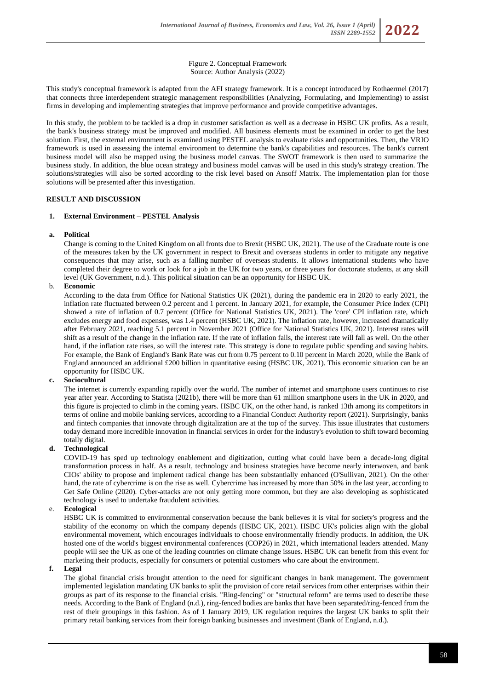Figure 2. Conceptual Framework Source: Author Analysis (2022)

This study's conceptual framework is adapted from the AFI strategy framework. It is a concept introduced by Rothaermel (2017) that connects three interdependent strategic management responsibilities (Analyzing, Formulating, and Implementing) to assist firms in developing and implementing strategies that improve performance and provide competitive advantages.

In this study, the problem to be tackled is a drop in customer satisfaction as well as a decrease in HSBC UK profits. As a result, the bank's business strategy must be improved and modified. All business elements must be examined in order to get the best solution. First, the external environment is examined using PESTEL analysis to evaluate risks and opportunities. Then, the VRIO framework is used in assessing the internal environment to determine the bank's capabilities and resources. The bank's current business model will also be mapped using the business model canvas. The SWOT framework is then used to summarize the business study. In addition, the blue ocean strategy and business model canvas will be used in this study's strategy creation. The solutions/strategies will also be sorted according to the risk level based on Ansoff Matrix. The implementation plan for those solutions will be presented after this investigation.

## **RESULT AND DISCUSSION**

## **1. External Environment – PESTEL Analysis**

## **a. Political**

Change is coming to the United Kingdom on all fronts due to Brexit (HSBC UK, 2021). The use of the Graduate route is one of the measures taken by the UK government in respect to Brexit and overseas students in order to mitigate any negative consequences that may arise, such as a falling number of overseas students. It allows international students who have completed their degree to work or look for a job in the UK for two years, or three years for doctorate students, at any skill level (UK Government, n.d.). This political situation can be an opportunity for HSBC UK.

## b. **Economic**

According to the data from Office for National Statistics UK (2021), during the pandemic era in 2020 to early 2021, the inflation rate fluctuated between 0.2 percent and 1 percent. In January 2021, for example, the Consumer Price Index (CPI) showed a rate of inflation of 0.7 percent (Office for National Statistics UK, 2021). The 'core' CPI inflation rate, which excludes energy and food expenses, was 1.4 percent (HSBC UK, 2021). The inflation rate, however, increased dramatically after February 2021, reaching 5.1 percent in November 2021 (Office for National Statistics UK, 2021). Interest rates will shift as a result of the change in the inflation rate. If the rate of inflation falls, the interest rate will fall as well. On the other hand, if the inflation rate rises, so will the interest rate. This strategy is done to regulate public spending and saving habits. For example, the Bank of England's Bank Rate was cut from 0.75 percent to 0.10 percent in March 2020, while the Bank of England announced an additional £200 billion in quantitative easing (HSBC UK, 2021). This economic situation can be an opportunity for HSBC UK.

## **c. Sociocultural**

The internet is currently expanding rapidly over the world. The number of internet and smartphone users continues to rise year after year. According to Statista (2021b), there will be more than 61 million smartphone users in the UK in 2020, and this figure is projected to climb in the coming years. HSBC UK, on the other hand, is ranked 13th among its competitors in terms of online and mobile banking services, according to a Financial Conduct Authority report (2021). Surprisingly, banks and fintech companies that innovate through digitalization are at the top of the survey. This issue illustrates that customers today demand more incredible innovation in financial services in order for the industry's evolution to shift toward becoming totally digital.

## **d. Technological**

COVID-19 has sped up technology enablement and digitization, cutting what could have been a decade-long digital transformation process in half. As a result, technology and business strategies have become nearly interwoven, and bank CIOs' ability to propose and implement radical change has been substantially enhanced (O'Sullivan, 2021). On the other hand, the rate of cybercrime is on the rise as well. Cybercrime has increased by more than 50% in the last year, according to Get Safe Online (2020). Cyber-attacks are not only getting more common, but they are also developing as sophisticated technology is used to undertake fraudulent activities.

## e. **Ecological**

HSBC UK is committed to environmental conservation because the bank believes it is vital for society's progress and the stability of the economy on which the company depends (HSBC UK, 2021). HSBC UK's policies align with the global environmental movement, which encourages individuals to choose environmentally friendly products. In addition, the UK hosted one of the world's biggest environmental conferences (COP26) in 2021, which international leaders attended. Many people will see the UK as one of the leading countries on climate change issues. HSBC UK can benefit from this event for marketing their products, especially for consumers or potential customers who care about the environment.

## **f. Legal**

The global financial crisis brought attention to the need for significant changes in bank management. The government implemented legislation mandating UK banks to split the provision of core retail services from other enterprises within their groups as part of its response to the financial crisis. "Ring-fencing" or "structural reform" are terms used to describe these needs. According to the Bank of England (n.d.), ring-fenced bodies are banks that have been separated/ring-fenced from the rest of their groupings in this fashion. As of 1 January 2019, UK regulation requires the largest UK banks to split their primary retail banking services from their foreign banking businesses and investment (Bank of England, n.d.).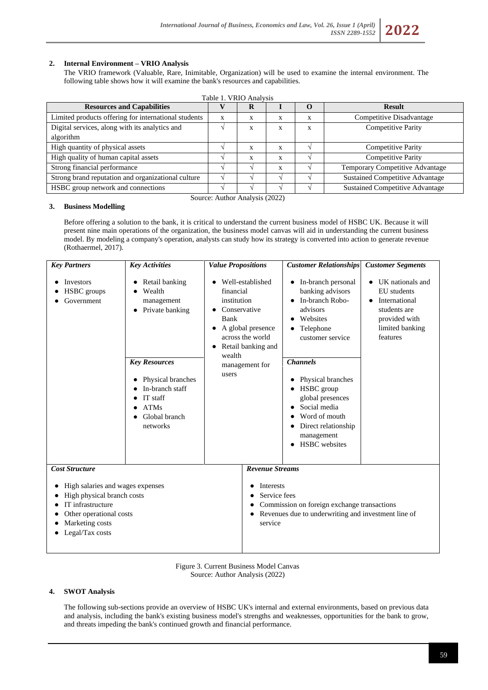## **2. Internal Environment – VRIO Analysis**

The VRIO framework (Valuable, Rare, Inimitable, Organization) will be used to examine the internal environment. The following table shows how it will examine the bank's resources and capabilities.

| Table 1. VRIO Analysis                               |   |              |   |   |                                        |  |  |
|------------------------------------------------------|---|--------------|---|---|----------------------------------------|--|--|
| <b>Resources and Capabilities</b>                    |   | R            |   |   | <b>Result</b>                          |  |  |
| Limited products offering for international students | X | X            | X | X | Competitive Disadvantage               |  |  |
| Digital services, along with its analytics and       |   | X            | X | X | <b>Competitive Parity</b>              |  |  |
| algorithm                                            |   |              |   |   |                                        |  |  |
| High quantity of physical assets                     |   | X            | X |   | <b>Competitive Parity</b>              |  |  |
| High quality of human capital assets                 |   | $\mathbf{x}$ | X |   | <b>Competitive Parity</b>              |  |  |
| Strong financial performance                         |   |              | X |   | Temporary Competitive Advantage        |  |  |
| Strong brand reputation and organizational culture   |   |              |   |   | <b>Sustained Competitive Advantage</b> |  |  |
| HSBC group network and connections                   |   |              |   |   | <b>Sustained Competitive Advantage</b> |  |  |

Source: Author Analysis (2022)

## **3. Business Modelling**

Before offering a solution to the bank, it is critical to understand the current business model of HSBC UK. Because it will present nine main operations of the organization, the business model canvas will aid in understanding the current business model. By modeling a company's operation, analysts can study how its strategy is converted into action to generate revenue (Rothaermel, 2017).

| <b>Key Partners</b>                                                                     | <b>Key Activities</b>                                                                                                                                                                          | <b>Value Propositions</b>                                                                                                                                                             |                                                            | <b>Customer Relationships</b>                                                                                                                                                                                                                                                                                          | <b>Customer Segments</b>                                                                                                      |
|-----------------------------------------------------------------------------------------|------------------------------------------------------------------------------------------------------------------------------------------------------------------------------------------------|---------------------------------------------------------------------------------------------------------------------------------------------------------------------------------------|------------------------------------------------------------|------------------------------------------------------------------------------------------------------------------------------------------------------------------------------------------------------------------------------------------------------------------------------------------------------------------------|-------------------------------------------------------------------------------------------------------------------------------|
| Investors<br><b>HSBC</b> groups<br>Government                                           | Retail banking<br>Wealth<br>management<br>Private banking<br>$\bullet$<br><b>Key Resources</b><br>Physical branches<br>In-branch staff<br>IT staff<br><b>ATMs</b><br>Global branch<br>networks | Well-established<br>financial<br>institution<br>Conservative<br>Bank<br>A global presence<br>across the world<br>Retail banking and<br>$\bullet$<br>wealth<br>management for<br>users |                                                            | • In-branch personal<br>banking advisors<br>In-branch Robo-<br>$\bullet$<br>advisors<br>Websites<br>Telephone<br>customer service<br><b>Channels</b><br>Physical branches<br>HSBC group<br>global presences<br>Social media<br>Word of mouth<br>Direct relationship<br>$\bullet$<br>management<br><b>HSBC</b> websites | UK nationals and<br>EU students<br>International<br>$\bullet$<br>students are<br>provided with<br>limited banking<br>features |
| <b>Cost Structure</b><br>High salaries and wages expenses<br>High physical branch costs |                                                                                                                                                                                                |                                                                                                                                                                                       | <b>Revenue Streams</b><br><b>Interests</b><br>Service fees |                                                                                                                                                                                                                                                                                                                        |                                                                                                                               |
| IT infrastructure<br>Other operational costs<br>Marketing costs<br>Legal/Tax costs      |                                                                                                                                                                                                | Commission on foreign exchange transactions<br>Revenues due to underwriting and investment line of<br>$\bullet$<br>service                                                            |                                                            |                                                                                                                                                                                                                                                                                                                        |                                                                                                                               |

Figure 3. Current Business Model Canvas Source: Author Analysis (2022)

## **4. SWOT Analysis**

The following sub-sections provide an overview of HSBC UK's internal and external environments, based on previous data and analysis, including the bank's existing business model's strengths and weaknesses, opportunities for the bank to grow, and threats impeding the bank's continued growth and financial performance.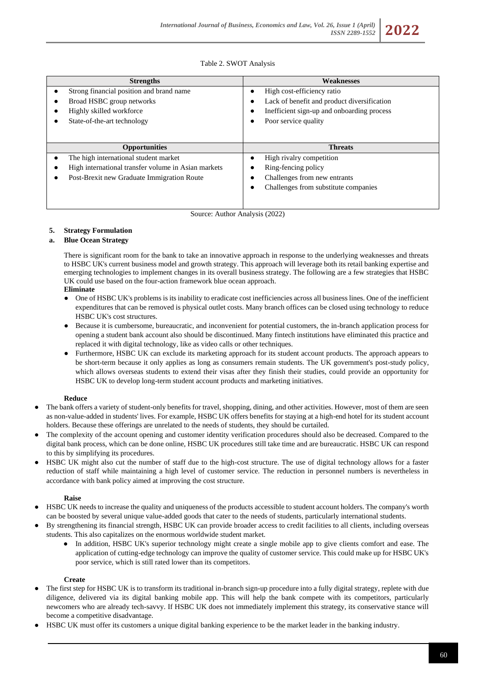## Table 2. SWOT Analysis

| <b>Strengths</b>                                    | <b>Weaknesses</b>                           |
|-----------------------------------------------------|---------------------------------------------|
| Strong financial position and brand name            | High cost-efficiency ratio<br>$\bullet$     |
| Broad HSBC group networks                           | Lack of benefit and product diversification |
| Highly skilled workforce                            | Inefficient sign-up and onboarding process  |
| State-of-the-art technology                         | Poor service quality                        |
|                                                     |                                             |
|                                                     |                                             |
| <b>Opportunities</b>                                | <b>Threats</b>                              |
| The high international student market               | High rivalry competition                    |
| High international transfer volume in Asian markets | Ring-fencing policy                         |
| Post-Brexit new Graduate Immigration Route          | Challenges from new entrants                |
|                                                     | Challenges from substitute companies        |
|                                                     |                                             |

Source: Author Analysis (2022)

## **5. Strategy Formulation**

## **a. Blue Ocean Strategy**

There is significant room for the bank to take an innovative approach in response to the underlying weaknesses and threats to HSBC UK's current business model and growth strategy. This approach will leverage both its retail banking expertise and emerging technologies to implement changes in its overall business strategy. The following are a few strategies that HSBC UK could use based on the four-action framework blue ocean approach.

## **Eliminate**

- One of HSBC UK's problems is its inability to eradicate cost inefficiencies across all business lines. One of the inefficient expenditures that can be removed is physical outlet costs. Many branch offices can be closed using technology to reduce HSBC UK's cost structures.
- Because it is cumbersome, bureaucratic, and inconvenient for potential customers, the in-branch application process for opening a student bank account also should be discontinued. Many fintech institutions have eliminated this practice and replaced it with digital technology, like as video calls or other techniques.
- Furthermore, HSBC UK can exclude its marketing approach for its student account products. The approach appears to be short-term because it only applies as long as consumers remain students. The UK government's post-study policy, which allows overseas students to extend their visas after they finish their studies, could provide an opportunity for HSBC UK to develop long-term student account products and marketing initiatives.

## **Reduce**

- The bank offers a variety of student-only benefits for travel, shopping, dining, and other activities. However, most of them are seen as non-value-added in students' lives. For example, HSBC UK offers benefits for staying at a high-end hotel for its student account holders. Because these offerings are unrelated to the needs of students, they should be curtailed.
- The complexity of the account opening and customer identity verification procedures should also be decreased. Compared to the digital bank process, which can be done online, HSBC UK procedures still take time and are bureaucratic. HSBC UK can respond to this by simplifying its procedures.
- HSBC UK might also cut the number of staff due to the high-cost structure. The use of digital technology allows for a faster reduction of staff while maintaining a high level of customer service. The reduction in personnel numbers is nevertheless in accordance with bank policy aimed at improving the cost structure.

## **Raise**

- HSBC UK needs to increase the quality and uniqueness of the products accessible to student account holders. The company's worth can be boosted by several unique value-added goods that cater to the needs of students, particularly international students.
- By strengthening its financial strength, HSBC UK can provide broader access to credit facilities to all clients, including overseas students. This also capitalizes on the enormous worldwide student market.
	- In addition, HSBC UK's superior technology might create a single mobile app to give clients comfort and ease. The application of cutting-edge technology can improve the quality of customer service. This could make up for HSBC UK's poor service, which is still rated lower than its competitors.

#### **Create**

- The first step for HSBC UK is to transform its traditional in-branch sign-up procedure into a fully digital strategy, replete with due diligence, delivered via its digital banking mobile app. This will help the bank compete with its competitors, particularly newcomers who are already tech-savvy. If HSBC UK does not immediately implement this strategy, its conservative stance will become a competitive disadvantage.
- HSBC UK must offer its customers a unique digital banking experience to be the market leader in the banking industry.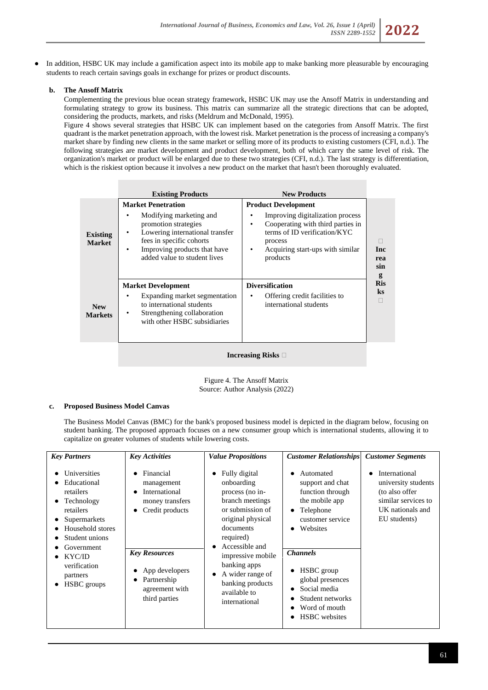In addition, HSBC UK may include a gamification aspect into its mobile app to make banking more pleasurable by encouraging students to reach certain savings goals in exchange for prizes or product discounts.

## **b. The Ansoff Matrix**

Complementing the previous blue ocean strategy framework, HSBC UK may use the Ansoff Matrix in understanding and formulating strategy to grow its business. This matrix can summarize all the strategic directions that can be adopted, considering the products, markets, and risks (Meldrum and McDonald, 1995).

Figure 4 shows several strategies that HSBC UK can implement based on the categories from Ansoff Matrix. The first quadrant is the market penetration approach, with the lowest risk. Market penetration is the process of increasing a company's market share by finding new clients in the same market or selling more of its products to existing customers (CFI, n.d.). The following strategies are market development and product development, both of which carry the same level of risk. The organization's market or product will be enlarged due to these two strategies (CFI, n.d.). The last strategy is differentiation, which is the riskiest option because it involves a new product on the market that hasn't been thoroughly evaluated.

|                                  | <b>Existing Products</b>                                                                                                                                                                                                           | <b>New Products</b>                                                                                                                                                                                              |                   |
|----------------------------------|------------------------------------------------------------------------------------------------------------------------------------------------------------------------------------------------------------------------------------|------------------------------------------------------------------------------------------------------------------------------------------------------------------------------------------------------------------|-------------------|
| <b>Existing</b><br><b>Market</b> | <b>Market Penetration</b><br>Modifying marketing and<br>٠<br>promotion strategies<br>Lowering international transfer<br>٠<br>fees in specific cohorts<br>Improving products that have<br>$\bullet$<br>added value to student lives | <b>Product Development</b><br>Improving digitalization process<br>Cooperating with third parties in<br>$\bullet$<br>terms of ID verification/KYC<br>process<br>Acquiring start-ups with similar<br>٠<br>products | Inc<br>rea<br>sin |
| <b>New</b><br><b>Markets</b>     | <b>Market Development</b><br>Expanding market segmentation<br>to international students<br>Strengthening collaboration<br>٠<br>with other HSBC subsidiaries                                                                        | <b>Diversification</b><br>Offering credit facilities to<br>international students                                                                                                                                | <b>Ris</b>        |
|                                  |                                                                                                                                                                                                                                    |                                                                                                                                                                                                                  |                   |

## **Increasing Risks**

Figure 4. The Ansoff Matrix Source: Author Analysis (2022)

## **c. Proposed Business Model Canvas**

The Business Model Canvas (BMC) for the bank's proposed business model is depicted in the diagram below, focusing on student banking. The proposed approach focuses on a new consumer group which is international students, allowing it to capitalize on greater volumes of students while lowering costs.

| <b>Key Partners</b>                                                                                                                                                                                                         | <b>Key Activities</b>                                                                                                                                                                                             | <b>Value Propositions</b>                                                                                                                                                                                                                                                 | <b>Customer Relationships</b>                                                                                                                                                                                                                                                               | <b>Customer Segments</b>                                                                                                        |
|-----------------------------------------------------------------------------------------------------------------------------------------------------------------------------------------------------------------------------|-------------------------------------------------------------------------------------------------------------------------------------------------------------------------------------------------------------------|---------------------------------------------------------------------------------------------------------------------------------------------------------------------------------------------------------------------------------------------------------------------------|---------------------------------------------------------------------------------------------------------------------------------------------------------------------------------------------------------------------------------------------------------------------------------------------|---------------------------------------------------------------------------------------------------------------------------------|
| Universities<br>٠<br>Educational<br>retailers<br>Technology<br>$\bullet$<br>retailers<br>Supermarkets<br>Household stores<br>Student unions<br>Government<br>KYC/ID<br>verification<br>partners<br>HSBC groups<br>$\bullet$ | Financial<br>$\bullet$<br>management<br>International<br>$\bullet$<br>money transfers<br>Credit products<br>$\bullet$<br><b>Key Resources</b><br>App developers<br>Partnership<br>agreement with<br>third parties | Fully digital<br>٠<br>onboarding<br>process (no in-<br>branch meetings<br>or submission of<br>original physical<br>documents<br>required)<br>Accessible and<br>impressive mobile<br>banking apps<br>A wider range of<br>banking products<br>available to<br>international | Automated<br>٠<br>support and chat<br>function through<br>the mobile app<br>Telephone<br>٠<br>customer service<br>Websites<br>$\bullet$<br><b>Channels</b><br>HSBC group<br>$\bullet$<br>global presences<br>Social media<br>٠<br>Student networks<br>Word of mouth<br><b>HSBC</b> websites | International<br>$\bullet$<br>university students<br>(to also offer)<br>similar services to<br>UK nationals and<br>EU students) |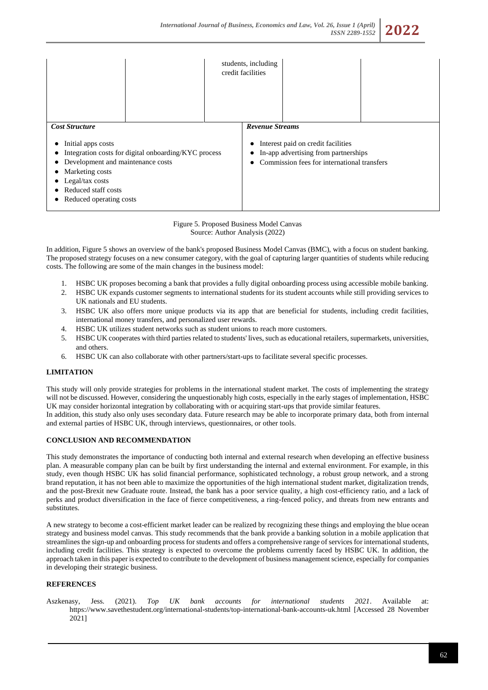|                                                                                                                                                                                                                                  | students, including<br>credit facilities |                                                                                                                           |  |
|----------------------------------------------------------------------------------------------------------------------------------------------------------------------------------------------------------------------------------|------------------------------------------|---------------------------------------------------------------------------------------------------------------------------|--|
| <b>Cost Structure</b><br>Initial apps costs<br>Integration costs for digital onboarding/KYC process<br>Development and maintenance costs<br>Marketing costs<br>Legal/tax costs<br>Reduced staff costs<br>Reduced operating costs | <b>Revenue Streams</b>                   | Interest paid on credit facilities<br>In-app advertising from partnerships<br>Commission fees for international transfers |  |

Figure 5. Proposed Business Model Canvas Source: Author Analysis (2022)

In addition, Figure 5 shows an overview of the bank's proposed Business Model Canvas (BMC), with a focus on student banking. The proposed strategy focuses on a new consumer category, with the goal of capturing larger quantities of students while reducing costs. The following are some of the main changes in the business model:

- 1. HSBC UK proposes becoming a bank that provides a fully digital onboarding process using accessible mobile banking.
- 2. HSBC UK expands customer segments to international students for its student accounts while still providing services to UK nationals and EU students.
- 3. HSBC UK also offers more unique products via its app that are beneficial for students, including credit facilities, international money transfers, and personalized user rewards.
- 4. HSBC UK utilizes student networks such as student unions to reach more customers.
- 5. HSBC UK cooperates with third parties related to students' lives, such as educational retailers, supermarkets, universities, and others.
- 6. HSBC UK can also collaborate with other partners/start-ups to facilitate several specific processes.

## **LIMITATION**

This study will only provide strategies for problems in the international student market. The costs of implementing the strategy will not be discussed. However, considering the unquestionably high costs, especially in the early stages of implementation, HSBC UK may consider horizontal integration by collaborating with or acquiring start-ups that provide similar features. In addition, this study also only uses secondary data. Future research may be able to incorporate primary data, both from internal and external parties of HSBC UK, through interviews, questionnaires, or other tools.

#### **CONCLUSION AND RECOMMENDATION**

This study demonstrates the importance of conducting both internal and external research when developing an effective business plan. A measurable company plan can be built by first understanding the internal and external environment. For example, in this study, even though HSBC UK has solid financial performance, sophisticated technology, a robust group network, and a strong brand reputation, it has not been able to maximize the opportunities of the high international student market, digitalization trends, and the post-Brexit new Graduate route. Instead, the bank has a poor service quality, a high cost-efficiency ratio, and a lack of perks and product diversification in the face of fierce competitiveness, a ring-fenced policy, and threats from new entrants and substitutes.

A new strategy to become a cost-efficient market leader can be realized by recognizing these things and employing the blue ocean strategy and business model canvas. This study recommends that the bank provide a banking solution in a mobile application that streamlines the sign-up and onboarding process for students and offers a comprehensive range of services for international students, including credit facilities. This strategy is expected to overcome the problems currently faced by HSBC UK. In addition, the approach taken in this paper is expected to contribute to the development of business management science, especially for companies in developing their strategic business.

#### **REFERENCES**

Aszkenasy, Jess. (2021). *Top UK bank accounts for international students 2021*. Available at: <https://www.savethestudent.org/international-students/top-international-bank-accounts-uk.html> [Accessed 28 November 2021]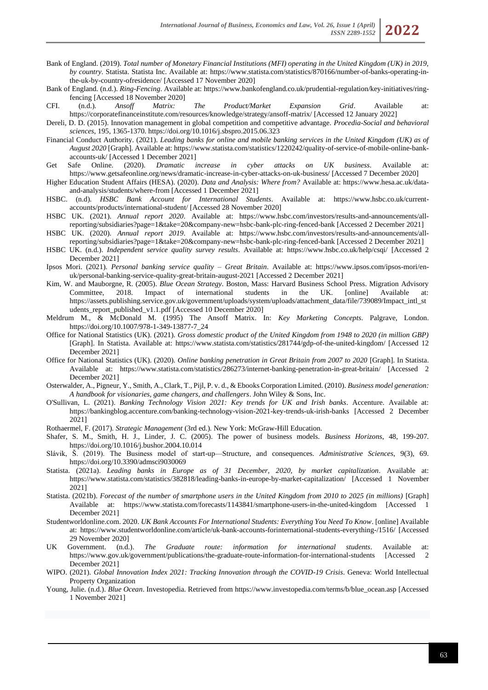- Bank of England. (2019). *Total number of Monetary Financial Institutions (MFI) operating in the United Kingdom (UK) in 2019, by country*. Statista. Statista Inc. Available at: [https://www.statista.com/statistics/870166/number-of-banks-operating-in](https://www.statista.com/statistics/870166/number-of-banks-operating-in-the-uk-by-country-ofresidence/)[the-uk-by-country-ofresidence/](https://www.statista.com/statistics/870166/number-of-banks-operating-in-the-uk-by-country-ofresidence/) [Accessed 17 November 2020]
- Bank of England. (n.d.). *Ring-Fencing*. Available at[: https://www.bankofengland.co.uk/prudential-regulation/key-initiatives/ring](https://www.bankofengland.co.uk/prudential-regulation/key-initiatives/ring-fencing)[fencing](https://www.bankofengland.co.uk/prudential-regulation/key-initiatives/ring-fencing) [Accessed 18 November 2020]
- CFI. (n.d.). *Ansoff Matrix: The Product/Market Expansion Grid*. Available at: <https://corporatefinanceinstitute.com/resources/knowledge/strategy/ansoff-matrix/> [Accessed 12 January 2022]

Dereli, D. D. (2015). Innovation management in global competition and competitive advantage. *Procedia-Social and behavioral sciences*, 195, 1365-1370.<https://doi.org/10.1016/j.sbspro.2015.06.323>

- Financial Conduct Authority. (2021). *Leading banks for online and mobile banking services in the United Kingdom (UK) as of August 2020* [Graph]. Available at[: https://www.statista.com/statistics/1220242/quality-of-service-of-mobile-online-bank](https://www.statista.com/statistics/1220242/quality-of-service-of-mobile-online-bank-accounts-uk/)[accounts-uk/](https://www.statista.com/statistics/1220242/quality-of-service-of-mobile-online-bank-accounts-uk/) [Accessed 1 December 2021]
- Get Safe Online. (2020). *Dramatic increase in cyber attacks on UK business*. Available <https://www.getsafeonline.org/news/dramatic-increase-in-cyber-attacks-on-uk-business/> [Accessed 7 December 2020]
- Higher Education Student Affairs (HESA). (2020). *Data and Analysis: Where from?* Available at: [https://www.hesa.ac.uk/data](https://www.hesa.ac.uk/data-and-analysis/students/where-from)[and-analysis/students/where-from](https://www.hesa.ac.uk/data-and-analysis/students/where-from) [Accessed 1 December 2021]
- HSBC. (n.d). *HSBC Bank Account for International Students*. Available at: [https://www.hsbc.co.uk/current](https://www.hsbc.co.uk/current-accounts/products/international-student/)[accounts/products/international-student/](https://www.hsbc.co.uk/current-accounts/products/international-student/) [Accessed 28 November 2020]
- HSBC UK. (2021). *Annual report 2020*. Available at: [https://www.hsbc.com/investors/results-and-announcements/all](https://www.hsbc.com/investors/results-and-announcements/all-reporting/subsidiaries?page=1&take=20&company-new=hsbc-bank-plc-ring-fenced-bank)[reporting/subsidiaries?page=1&take=20&company-new=hsbc-bank-plc-ring-fenced-bank](https://www.hsbc.com/investors/results-and-announcements/all-reporting/subsidiaries?page=1&take=20&company-new=hsbc-bank-plc-ring-fenced-bank) [Accessed 2 December 2021] HSBC UK. (2020). *Annual report 2019*. Available at: [https://www.hsbc.com/investors/results-and-announcements/all-](https://www.hsbc.com/investors/results-and-announcements/all-reporting/subsidiaries?page=1&take=20&company-new=hsbc-bank-plc-ring-fenced-bank)
- [reporting/subsidiaries?page=1&take=20&company-new=hsbc-bank-plc-ring-fenced-bank](https://www.hsbc.com/investors/results-and-announcements/all-reporting/subsidiaries?page=1&take=20&company-new=hsbc-bank-plc-ring-fenced-bank) [Accessed 2 December 2021]
- HSBC UK. (n.d.). *Independent service quality survey results*. Available at:<https://www.hsbc.co.uk/help/csqi/> [Accessed 2 December 2021]
- Ipsos Mori. (2021). *Personal banking service quality – Great Britain*. Available at: [https://www.ipsos.com/ipsos-mori/en](https://www.ipsos.com/ipsos-mori/en-uk/personal-banking-service-quality-great-britain-august-2021)[uk/personal-banking-service-quality-great-britain-august-2021](https://www.ipsos.com/ipsos-mori/en-uk/personal-banking-service-quality-great-britain-august-2021) [Accessed 2 December 2021]
- Kim, W. and Mauborgne, R. (2005). *Blue Ocean Strategy*. Boston, Mass: Harvard Business School Press. Migration Advisory Committee, 2018. Impact of international students in the UK. [online] Available at: [https://assets.publishing.service.gov.uk/government/uploads/system/uploads/attachment\\_data/file/739089/Impact\\_intl\\_st](https://assets.publishing.service.gov.uk/government/uploads/system/uploads/attachment_data/file/739089/Impact_intl_students_report_published_v1.1.pdf) [udents\\_report\\_published\\_v1.1.pdf](https://assets.publishing.service.gov.uk/government/uploads/system/uploads/attachment_data/file/739089/Impact_intl_students_report_published_v1.1.pdf) [Accessed 10 December 2020]
- Meldrum M., & McDonald M. (1995) The Ansoff Matrix. In: *Key Marketing Concepts*. Palgrave, London. [https://doi.org/10.1007/978-1-349-13877-7\\_24](https://doi.org/10.1007/978-1-349-13877-7_24)
- Office for National Statistics (UK). (2021). *Gross domestic product of the United Kingdom from 1948 to 2020 (in million GBP)* [Graph]. In Statista. Available at:<https://www.statista.com/statistics/281744/gdp-of-the-united-kingdom/> [Accessed 12 December 2021]
- Office for National Statistics (UK). (2020). *Online banking penetration in Great Britain from 2007 to 2020* [Graph]. In Statista. Available at: <https://www.statista.com/statistics/286273/internet-banking-penetration-in-great-britain/> [Accessed 2 December 2021]
- Osterwalder, A., Pigneur, Y., Smith, A., Clark, T., Pijl, P. v. d., & Ebooks Corporation Limited. (2010). *Business model generation: A handbook for visionaries, game changers, and challengers*. John Wiley & Sons, Inc.
- O'Sullivan, L. (2021). *Banking Technology Vision 2021: Key trends for UK and Irish banks*. Accenture. Available at: <https://bankingblog.accenture.com/banking-technology-vision-2021-key-trends-uk-irish-banks> [Accessed 2 December 2021]
- Rothaermel, F. (2017). *Strategic Management* (3rd ed.). New York: McGraw-Hill Education.
- Shafer, S. M., Smith, H. J., Linder, J. C. (2005). The power of business models. *Business Horizons*, 48, 199-207. <https://doi.org/10.1016/j.bushor.2004.10.014>
- Slávik, Š. (2019). The Business model of start-up—Structure, and consequences. *Administrative Sciences*, 9(3), 69. <https://doi.org/10.3390/admsci9030069>
- Statista. (2021a). *Leading banks in Europe as of 31 December, 2020, by market capitalization*. Available at: <https://www.statista.com/statistics/382818/leading-banks-in-europe-by-market-capitalization/> [Accessed 1 November 2021]
- Statista. (2021b). *Forecast of the number of smartphone users in the United Kingdom from 2010 to 2025 (in millions)* [Graph] Available at: <https://www.statista.com/forecasts/1143841/smartphone-users-in-the-united-kingdom> [Accessed 1 December 2021]
- Studentworldonline.com. 2020. *UK Bank Accounts For International Students: Everything You Need To Know*. [online] Available at:<https://www.studentworldonline.com/article/uk-bank-accounts-forinternational-students-everything-/1516/> [Accessed 29 November 2020]
- UK Government. (n.d.). *The Graduate route: information for international students*. Available at: <https://www.gov.uk/government/publications/the-graduate-route-information-for-international-students> [Accessed 2 December 2021]
- WIPO. (2021). *Global Innovation Index 2021: Tracking Innovation through the COVID-19 Crisis*. Geneva: World Intellectual Property Organization
- Young, Julie. (n.d.). *Blue Ocean*. Investopedia. Retrieved fro[m https://www.investopedia.com/terms/b/blue\\_ocean.asp](https://www.investopedia.com/terms/b/blue_ocean.asp) [Accessed 1 November 2021]